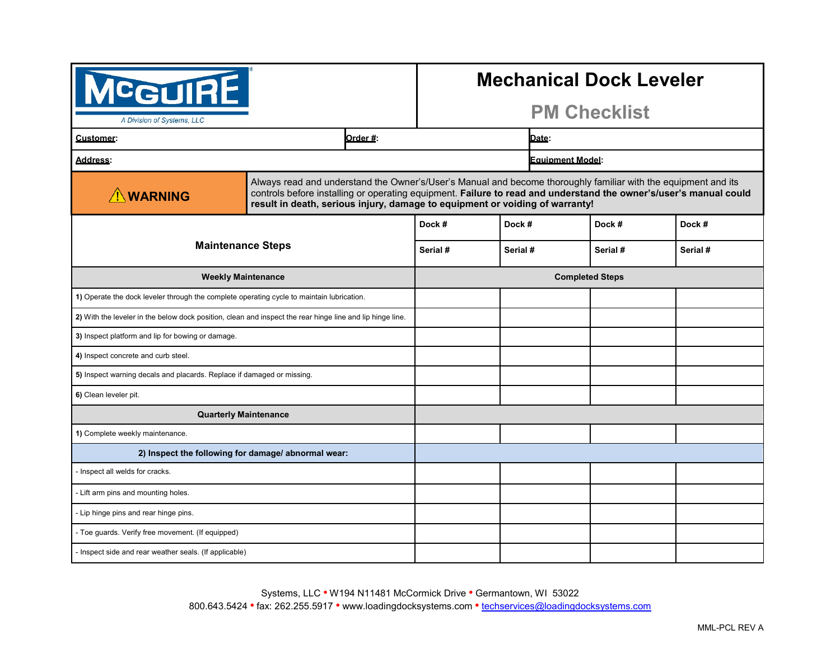| <b>CGUIRE</b><br>A Division of Systems, LLC                                                               |          |                                                                                                                                                                                                                                                                                                                     |          | <b>Mechanical Dock Leveler</b><br><b>PM Checklist</b> |          |
|-----------------------------------------------------------------------------------------------------------|----------|---------------------------------------------------------------------------------------------------------------------------------------------------------------------------------------------------------------------------------------------------------------------------------------------------------------------|----------|-------------------------------------------------------|----------|
| <b>Customer:</b>                                                                                          | Order #: |                                                                                                                                                                                                                                                                                                                     | Date:    |                                                       |          |
| <b>Address:</b>                                                                                           |          | <b>Equipment Model:</b>                                                                                                                                                                                                                                                                                             |          |                                                       |          |
| <b>N</b> WARNING                                                                                          |          | Always read and understand the Owner's/User's Manual and become thoroughly familiar with the equipment and its<br>controls before installing or operating equipment. Failure to read and understand the owner's/user's manual could<br>result in death, serious injury, damage to equipment or voiding of warranty! |          |                                                       |          |
|                                                                                                           |          | Dock #                                                                                                                                                                                                                                                                                                              | Dock #   | Dock #                                                | Dock #   |
| <b>Maintenance Steps</b>                                                                                  |          | Serial #                                                                                                                                                                                                                                                                                                            | Serial # | Serial #                                              | Serial # |
| <b>Weekly Maintenance</b>                                                                                 |          | <b>Completed Steps</b>                                                                                                                                                                                                                                                                                              |          |                                                       |          |
| 1) Operate the dock leveler through the complete operating cycle to maintain lubrication.                 |          |                                                                                                                                                                                                                                                                                                                     |          |                                                       |          |
| 2) With the leveler in the below dock position, clean and inspect the rear hinge line and lip hinge line. |          |                                                                                                                                                                                                                                                                                                                     |          |                                                       |          |
| 3) Inspect platform and lip for bowing or damage.                                                         |          |                                                                                                                                                                                                                                                                                                                     |          |                                                       |          |
| 4) Inspect concrete and curb steel.                                                                       |          |                                                                                                                                                                                                                                                                                                                     |          |                                                       |          |
| 5) Inspect warning decals and placards. Replace if damaged or missing.                                    |          |                                                                                                                                                                                                                                                                                                                     |          |                                                       |          |
| 6) Clean leveler pit.                                                                                     |          |                                                                                                                                                                                                                                                                                                                     |          |                                                       |          |
| <b>Quarterly Maintenance</b>                                                                              |          |                                                                                                                                                                                                                                                                                                                     |          |                                                       |          |
| 1) Complete weekly maintenance.                                                                           |          |                                                                                                                                                                                                                                                                                                                     |          |                                                       |          |
| 2) Inspect the following for damage/abnormal wear:                                                        |          |                                                                                                                                                                                                                                                                                                                     |          |                                                       |          |
| - Inspect all welds for cracks.                                                                           |          |                                                                                                                                                                                                                                                                                                                     |          |                                                       |          |
| - Lift arm pins and mounting holes.                                                                       |          |                                                                                                                                                                                                                                                                                                                     |          |                                                       |          |
| - Lip hinge pins and rear hinge pins.                                                                     |          |                                                                                                                                                                                                                                                                                                                     |          |                                                       |          |
| - Toe guards. Verify free movement. (If equipped)                                                         |          |                                                                                                                                                                                                                                                                                                                     |          |                                                       |          |
| - Inspect side and rear weather seals. (If applicable)                                                    |          |                                                                                                                                                                                                                                                                                                                     |          |                                                       |          |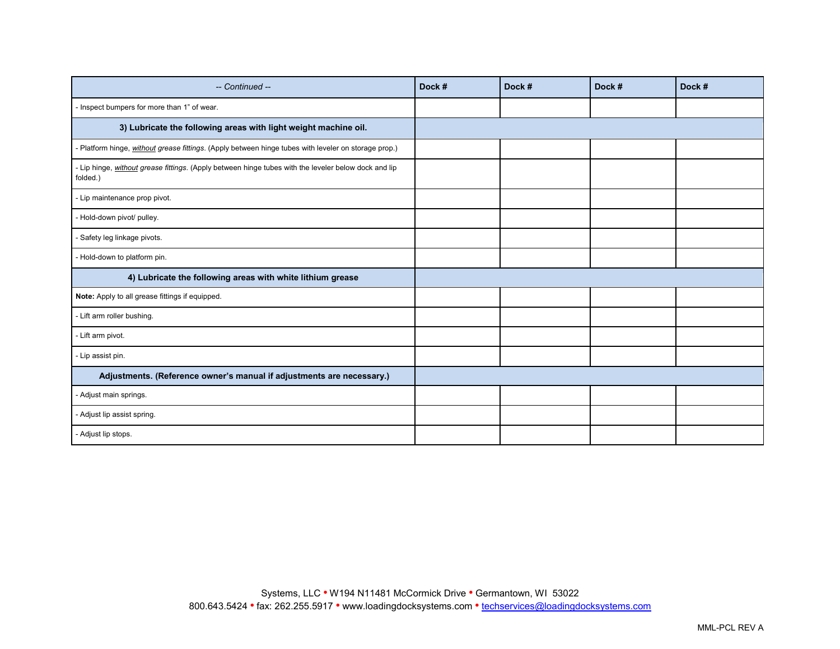| -- Continued --                                                                                                  | Dock # | Dock # | Dock # | Dock # |
|------------------------------------------------------------------------------------------------------------------|--------|--------|--------|--------|
| - Inspect bumpers for more than 1" of wear.                                                                      |        |        |        |        |
| 3) Lubricate the following areas with light weight machine oil.                                                  |        |        |        |        |
| - Platform hinge, without grease fittings. (Apply between hinge tubes with leveler on storage prop.)             |        |        |        |        |
| - Lip hinge, without grease fittings. (Apply between hinge tubes with the leveler below dock and lip<br>folded.) |        |        |        |        |
| - Lip maintenance prop pivot.                                                                                    |        |        |        |        |
| - Hold-down pivot/ pulley.                                                                                       |        |        |        |        |
| - Safety leg linkage pivots.                                                                                     |        |        |        |        |
| - Hold-down to platform pin.                                                                                     |        |        |        |        |
| 4) Lubricate the following areas with white lithium grease                                                       |        |        |        |        |
| Note: Apply to all grease fittings if equipped.                                                                  |        |        |        |        |
| - Lift arm roller bushing.                                                                                       |        |        |        |        |
| - Lift arm pivot.                                                                                                |        |        |        |        |
| - Lip assist pin.                                                                                                |        |        |        |        |
| Adjustments. (Reference owner's manual if adjustments are necessary.)                                            |        |        |        |        |
| - Adjust main springs.                                                                                           |        |        |        |        |
| - Adjust lip assist spring.                                                                                      |        |        |        |        |
| - Adjust lip stops.                                                                                              |        |        |        |        |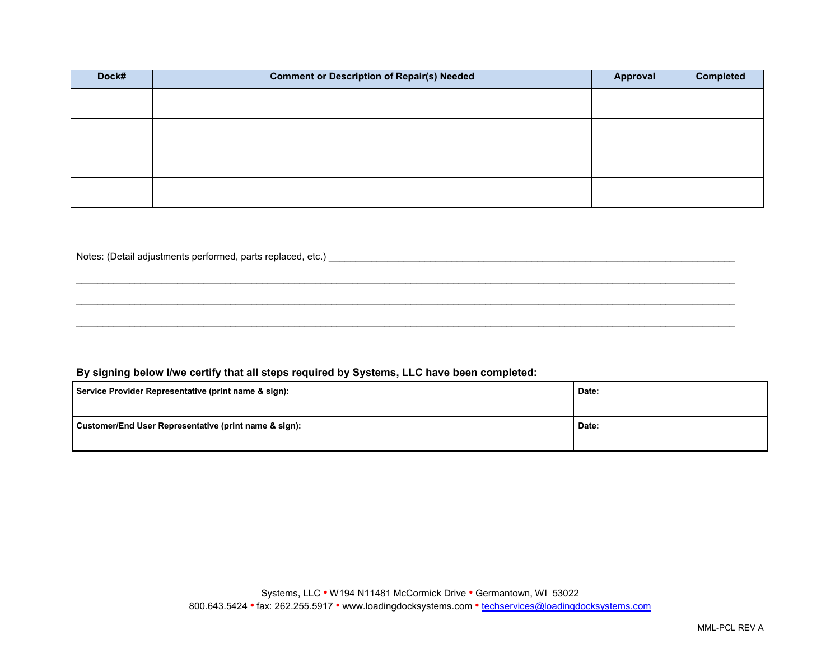| Dock# | <b>Comment or Description of Repair(s) Needed</b> | Approval | <b>Completed</b> |
|-------|---------------------------------------------------|----------|------------------|
|       |                                                   |          |                  |
|       |                                                   |          |                  |
|       |                                                   |          |                  |
|       |                                                   |          |                  |

\_\_\_\_\_\_\_\_\_\_\_\_\_\_\_\_\_\_\_\_\_\_\_\_\_\_\_\_\_\_\_\_\_\_\_\_\_\_\_\_\_\_\_\_\_\_\_\_\_\_\_\_\_\_\_\_\_\_\_\_\_\_\_\_\_\_\_\_\_\_\_\_\_\_\_\_\_\_\_\_\_\_\_\_\_\_\_\_\_\_\_\_\_\_\_\_\_\_\_\_\_\_\_\_\_\_\_\_\_\_\_\_\_\_\_\_\_\_\_\_\_\_\_\_

 $\mathcal{L}_\mathcal{L} = \{ \mathcal{L}_\mathcal{L} = \{ \mathcal{L}_\mathcal{L} = \{ \mathcal{L}_\mathcal{L} = \{ \mathcal{L}_\mathcal{L} = \{ \mathcal{L}_\mathcal{L} = \{ \mathcal{L}_\mathcal{L} = \{ \mathcal{L}_\mathcal{L} = \{ \mathcal{L}_\mathcal{L} = \{ \mathcal{L}_\mathcal{L} = \{ \mathcal{L}_\mathcal{L} = \{ \mathcal{L}_\mathcal{L} = \{ \mathcal{L}_\mathcal{L} = \{ \mathcal{L}_\mathcal{L} = \{ \mathcal{L}_\mathcal{$ 

 $\mathcal{L}_\mathcal{L} = \{ \mathcal{L}_\mathcal{L} = \{ \mathcal{L}_\mathcal{L} = \{ \mathcal{L}_\mathcal{L} = \{ \mathcal{L}_\mathcal{L} = \{ \mathcal{L}_\mathcal{L} = \{ \mathcal{L}_\mathcal{L} = \{ \mathcal{L}_\mathcal{L} = \{ \mathcal{L}_\mathcal{L} = \{ \mathcal{L}_\mathcal{L} = \{ \mathcal{L}_\mathcal{L} = \{ \mathcal{L}_\mathcal{L} = \{ \mathcal{L}_\mathcal{L} = \{ \mathcal{L}_\mathcal{L} = \{ \mathcal{L}_\mathcal{$ 

## Notes: (Detail adjustments performed, parts replaced, etc.) \_\_\_\_\_\_\_\_\_\_\_\_\_\_\_\_\_\_\_\_\_\_\_\_\_\_\_\_\_\_\_\_\_\_\_\_\_\_\_\_\_\_\_\_\_\_\_\_\_\_\_\_\_\_\_\_\_\_\_\_\_\_\_\_\_\_\_\_\_\_\_\_\_\_\_\_

## **By signing below I/we certify that all steps required by Systems, LLC have been completed:**

| Service Provider Representative (print name & sign):  | Date: |
|-------------------------------------------------------|-------|
| Customer/End User Representative (print name & sign): | Date: |